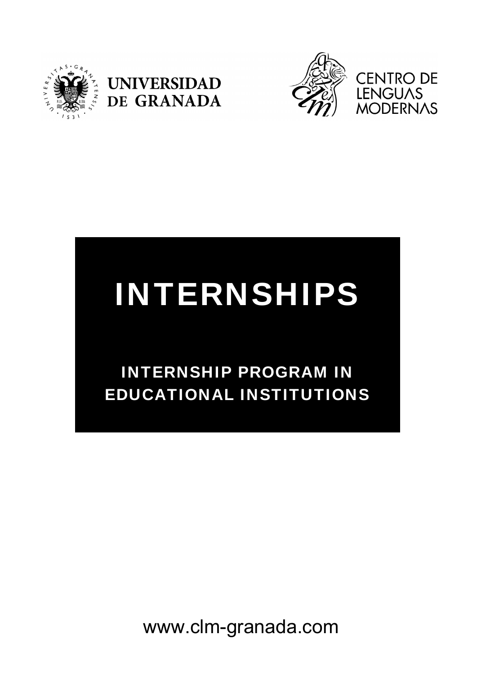





# INTERNSHIPS

## INTERNSHIP PROGRAM IN EDUCATIONAL INSTITUTIONS

www.clm-granada.com